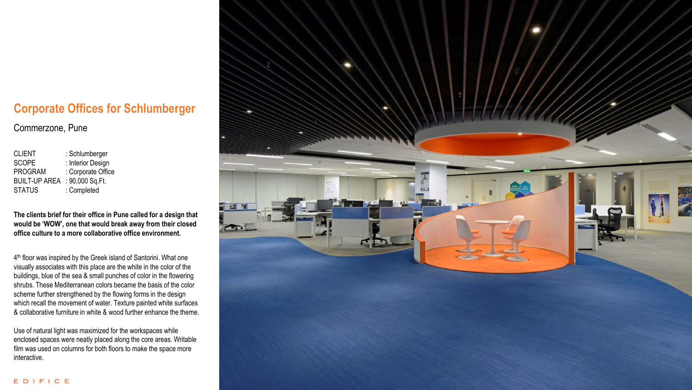## **Corporate Offices for Schlumberger**

Commerzone, Pune

CLIENT : Schlumberger SCOPE : Interior Design PROGRAM : Corporate Office BUILT-UP AREA : 90,000 Sq.Ft. STATUS : Completed

**The clients brief for their office in Pune called for a design that would be 'WOW', one that would break away from their closed office culture to a more collaborative office environment.**

4<sup>th</sup> floor was inspired by the Greek island of Santorini. What one visually associates with this place are the white in the color of the buildings, blue of the sea & small punches of color in the flowering shrubs. These Mediterranean colors became the basis of the color scheme further strengthened by the flowing forms in the design which recall the movement of water. Texture painted white surfaces & collaborative furniture in white & wood further enhance the theme.

Use of natural light was maximized for the workspaces while enclosed spaces were neatly placed along the core areas. Writable film was used on columns for both floors to make the space more interactive.

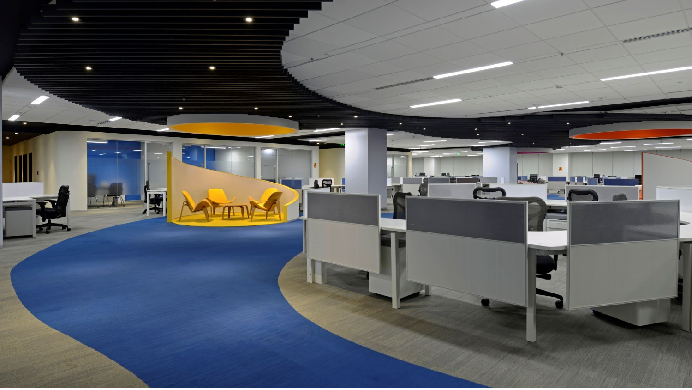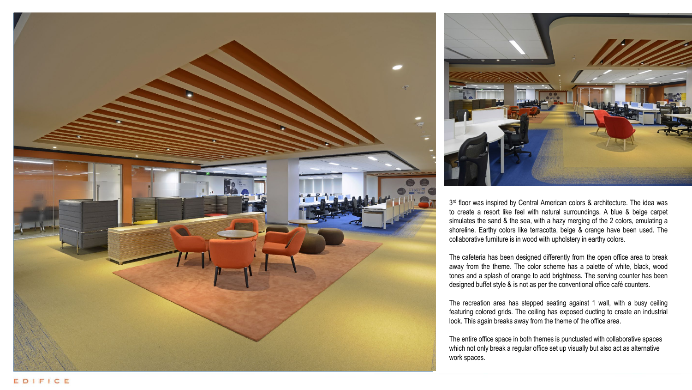



3<sup>rd</sup> floor was inspired by Central American colors & architecture. The idea was to create a resort like feel with natural surroundings. A blue & beige carpet simulates the sand & the sea, with a hazy merging of the 2 colors, emulating a shoreline. Earthy colors like terracotta, beige & orange have been used. The collaborative furniture is in wood with upholstery in earthy colors.

The cafeteria has been designed differently from the open office area to break away from the theme. The color scheme has a palette of white, black, wood tones and a splash of orange to add brightness. The serving counter has been designed buffet style & is not as per the conventional office café counters.

The recreation area has stepped seating against 1 wall, with a busy ceiling featuring colored grids. The ceiling has exposed ducting to create an industrial look. This again breaks away from the theme of the office area.

The entire office space in both themes is punctuated with collaborative spaces which not only break a regular office set up visually but also act as alternative work spaces.